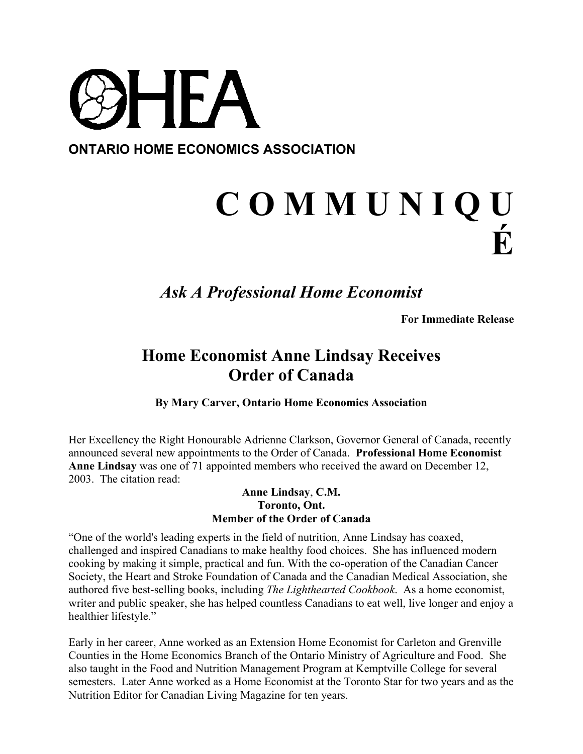

## **C O M M U N I Q U É**

## *Ask A Professional Home Economist*

**For Immediate Release**

## **Home Economist Anne Lindsay Receives Order of Canada**

**By Mary Carver, Ontario Home Economics Association**

Her Excellency the Right Honourable Adrienne Clarkson, Governor General of Canada, recently announced several new appointments to the Order of Canada. **Professional Home Economist Anne Lindsay** was one of 71 appointed members who received the award on December 12, 2003. The citation read:

## **Anne Lindsay**, **C.M. Toronto, Ont. Member of the Order of Canada**

"One of the world's leading experts in the field of nutrition, Anne Lindsay has coaxed, challenged and inspired Canadians to make healthy food choices. She has influenced modern cooking by making it simple, practical and fun. With the co-operation of the Canadian Cancer Society, the Heart and Stroke Foundation of Canada and the Canadian Medical Association, she authored five best-selling books, including *The Lighthearted Cookbook*. As a home economist, writer and public speaker, she has helped countless Canadians to eat well, live longer and enjoy a healthier lifestyle."

Early in her career, Anne worked as an Extension Home Economist for Carleton and Grenville Counties in the Home Economics Branch of the Ontario Ministry of Agriculture and Food. She also taught in the Food and Nutrition Management Program at Kemptville College for several semesters. Later Anne worked as a Home Economist at the Toronto Star for two years and as the Nutrition Editor for Canadian Living Magazine for ten years.